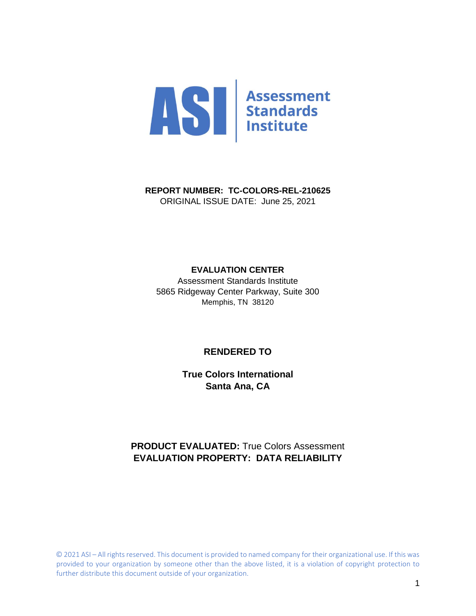

**REPORT NUMBER: TC-COLORS-REL-210625** ORIGINAL ISSUE DATE: June 25, 2021

#### **EVALUATION CENTER**

Assessment Standards Institute 5865 Ridgeway Center Parkway, Suite 300 Memphis, TN 38120

#### **RENDERED TO**

**True Colors International Santa Ana, CA**

## **PRODUCT EVALUATED:** True Colors Assessment **EVALUATION PROPERTY: DATA RELIABILITY**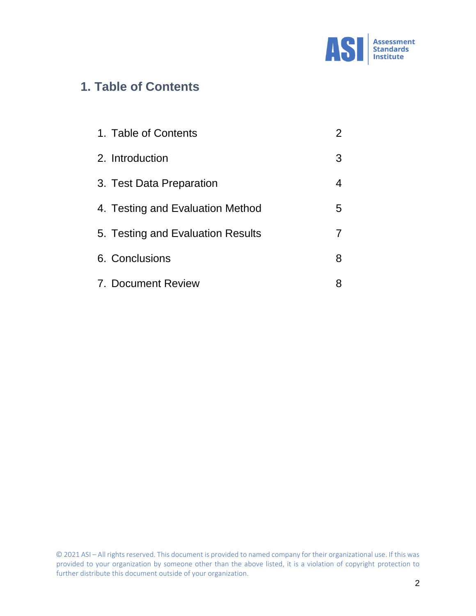

# **1. Table of Contents**

| 1. Table of Contents              | $\overline{2}$ |
|-----------------------------------|----------------|
| 2. Introduction                   | 3              |
| 3. Test Data Preparation          | 4              |
| 4. Testing and Evaluation Method  | 5              |
| 5. Testing and Evaluation Results |                |
| 6. Conclusions                    | 8              |
| 7. Document Review                | 8              |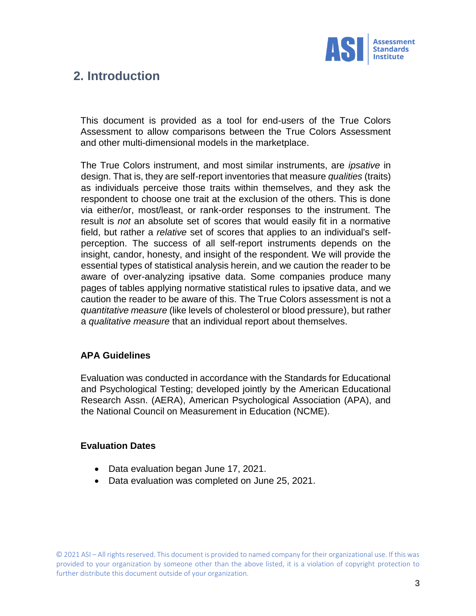

# **2. Introduction**

This document is provided as a tool for end-users of the True Colors Assessment to allow comparisons between the True Colors Assessment and other multi-dimensional models in the marketplace.

The True Colors instrument, and most similar instruments, are *ipsative* in design. That is, they are self-report inventories that measure *qualities* (traits) as individuals perceive those traits within themselves, and they ask the respondent to choose one trait at the exclusion of the others. This is done via either/or, most/least, or rank-order responses to the instrument. The result is *not* an absolute set of scores that would easily fit in a normative field, but rather a *relative* set of scores that applies to an individual's selfperception. The success of all self-report instruments depends on the insight, candor, honesty, and insight of the respondent. We will provide the essential types of statistical analysis herein, and we caution the reader to be aware of over-analyzing ipsative data. Some companies produce many pages of tables applying normative statistical rules to ipsative data, and we caution the reader to be aware of this. The True Colors assessment is not a *quantitative measure* (like levels of cholesterol or blood pressure), but rather a *qualitative measure* that an individual report about themselves.

### **APA Guidelines**

Evaluation was conducted in accordance with the Standards for Educational and Psychological Testing; developed jointly by the American Educational Research Assn. (AERA), American Psychological Association (APA), and the National Council on Measurement in Education (NCME).

### **Evaluation Dates**

- Data evaluation began June 17, 2021.
- Data evaluation was completed on June 25, 2021.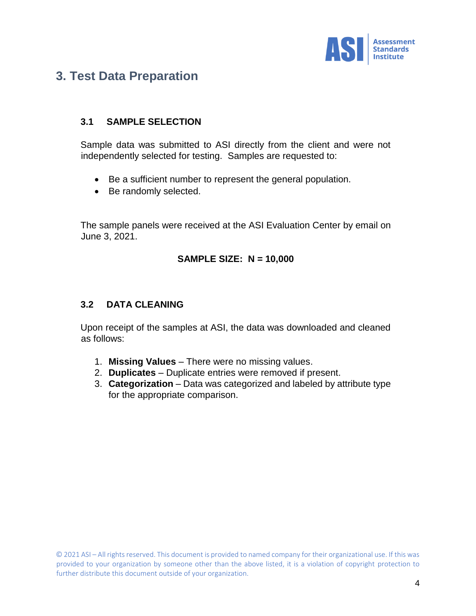

# **3. Test Data Preparation**

### **3.1 SAMPLE SELECTION**

Sample data was submitted to ASI directly from the client and were not independently selected for testing. Samples are requested to:

- Be a sufficient number to represent the general population.
- Be randomly selected.

The sample panels were received at the ASI Evaluation Center by email on June 3, 2021.

### **SAMPLE SIZE: N = 10,000**

### **3.2 DATA CLEANING**

Upon receipt of the samples at ASI, the data was downloaded and cleaned as follows:

- 1. **Missing Values** There were no missing values.
- 2. **Duplicates** Duplicate entries were removed if present.
- 3. **Categorization** Data was categorized and labeled by attribute type for the appropriate comparison.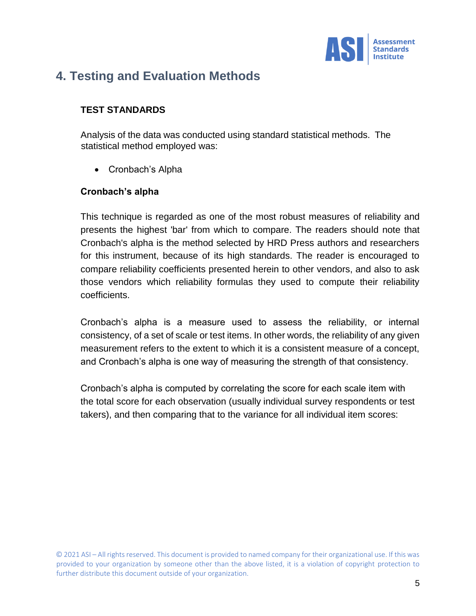

# **4. Testing and Evaluation Methods**

### **TEST STANDARDS**

Analysis of the data was conducted using standard statistical methods. The statistical method employed was:

• Cronbach's Alpha

### **Cronbach's alpha**

This technique is regarded as one of the most robust measures of reliability and presents the highest 'bar' from which to compare. The readers should note that Cronbach's alpha is the method selected by HRD Press authors and researchers for this instrument, because of its high standards. The reader is encouraged to compare reliability coefficients presented herein to other vendors, and also to ask those vendors which reliability formulas they used to compute their reliability coefficients.

Cronbach's alpha is a measure used to assess the reliability, or internal consistency, of a set of scale or test items. In other words, the reliability of any given measurement refers to the extent to which it is a consistent measure of a concept, and Cronbach's alpha is one way of measuring the strength of that consistency.

Cronbach's alpha is computed by correlating the score for each scale item with the total score for each observation (usually individual survey respondents or test takers), and then comparing that to the variance for all individual item scores: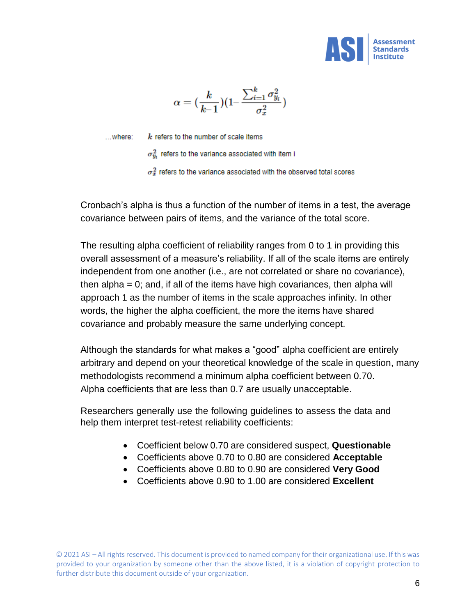

$$
\alpha=(\frac{k}{k\!-\!1})(1\!\!-\!\frac{\sum_{i=1}^k\sigma_{y_i}^2}{\sigma_x^2})
$$

 $...$  where:

 $k$  refers to the number of scale items

 $\sigma_w^2$  refers to the variance associated with item i

 $\sigma_x^2$  refers to the variance associated with the observed total scores

Cronbach's alpha is thus a function of the number of items in a test, the average covariance between pairs of items, and the variance of the total score.

The resulting alpha coefficient of reliability ranges from 0 to 1 in providing this overall assessment of a measure's reliability. If all of the scale items are entirely independent from one another (i.e., are not correlated or share no covariance), then alpha = 0; and, if all of the items have high covariances, then alpha will approach 1 as the number of items in the scale approaches infinity. In other words, the higher the alpha coefficient, the more the items have shared covariance and probably measure the same underlying concept.

Although the standards for what makes a "good" alpha coefficient are entirely arbitrary and depend on your theoretical knowledge of the scale in question, many methodologists recommend a minimum alpha coefficient between 0.70. Alpha coefficients that are less than 0.7 are usually unacceptable.

Researchers generally use the following guidelines to assess the data and help them interpret test-retest reliability coefficients:

- Coefficient below 0.70 are considered suspect, **Questionable**
- Coefficients above 0.70 to 0.80 are considered **Acceptable**
- Coefficients above 0.80 to 0.90 are considered **Very Good**
- Coefficients above 0.90 to 1.00 are considered **Excellent**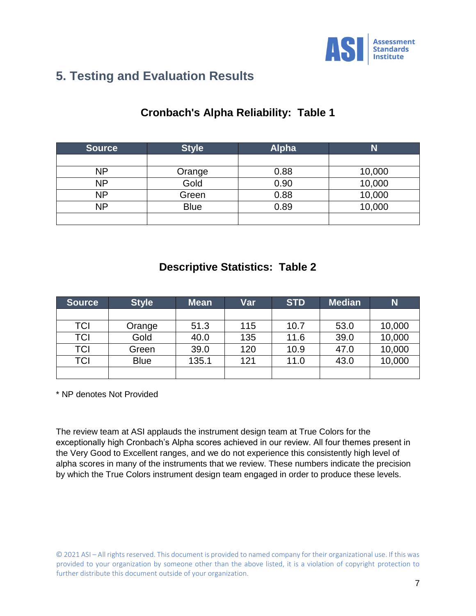

# **5. Testing and Evaluation Results**

## **Cronbach's Alpha Reliability: Table 1**

| <b>Source</b> | <b>Style</b> | <b>Alpha</b> | Ñ      |
|---------------|--------------|--------------|--------|
|               |              |              |        |
| NΡ            | Orange       | 0.88         | 10,000 |
| NΡ            | Gold         | 0.90         | 10,000 |
| NΡ            | Green        | 0.88         | 10,000 |
| NΡ            | <b>Blue</b>  | 0.89         | 10,000 |
|               |              |              |        |

## **Descriptive Statistics: Table 2**

| <b>Source</b> | <b>Style</b> | <b>Mean</b> | Var | <b>STD</b> | <b>Median</b> | N      |
|---------------|--------------|-------------|-----|------------|---------------|--------|
|               |              |             |     |            |               |        |
| TCI           | Orange       | 51.3        | 115 | 10.7       | 53.0          | 10,000 |
| TCI           | Gold         | 40.0        | 135 | 11.6       | 39.0          | 10,000 |
| TCI           | Green        | 39.0        | 120 | 10.9       | 47.0          | 10,000 |
| TCI           | <b>Blue</b>  | 135.1       | 121 | 11.0       | 43.0          | 10,000 |
|               |              |             |     |            |               |        |

\* NP denotes Not Provided

The review team at ASI applauds the instrument design team at True Colors for the exceptionally high Cronbach's Alpha scores achieved in our review. All four themes present in the Very Good to Excellent ranges, and we do not experience this consistently high level of alpha scores in many of the instruments that we review. These numbers indicate the precision by which the True Colors instrument design team engaged in order to produce these levels.